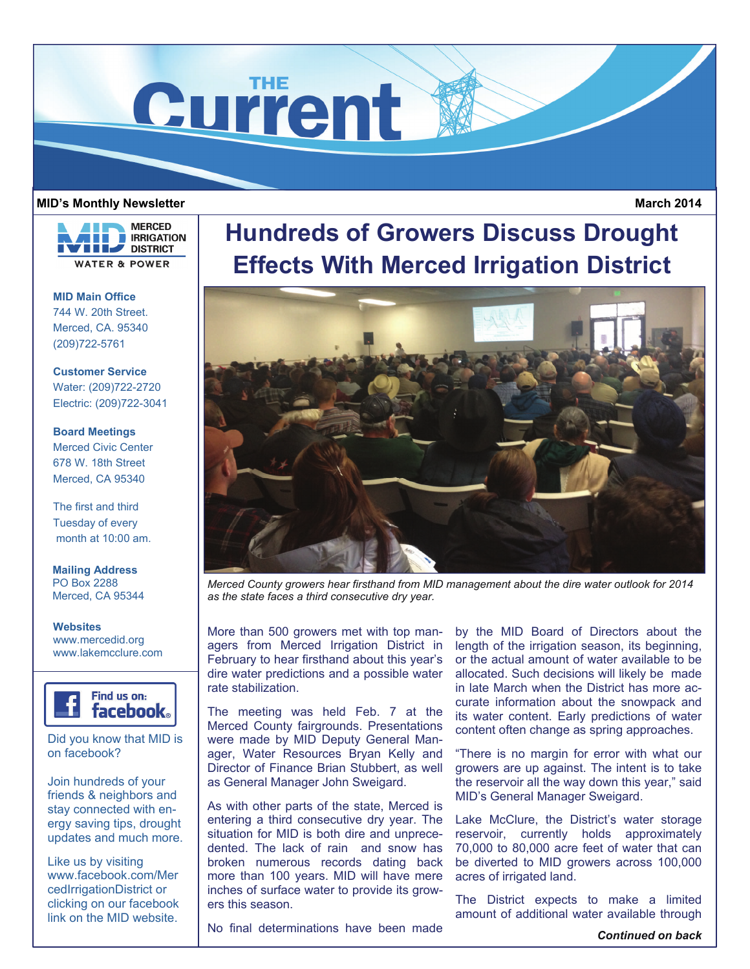

## **MID's Monthly Newsletter**

**MERCED RRIGATION THE DISTRICT WATER & POWER** 

**MID Main Office**  744 W. 20th Street. Merced, CA. 95340 (209)722-5761

**Customer Service**  Water: (209)722-2720 Electric: (209)722-3041

**Board Meetings**  Merced Civic Center 678 W. 18th Street Merced, CA 95340

The first and third Tuesday of every month at 10:00 am.

**Mailing Address**  PO Box 2288 Merced, CA 95344

**Websites**  www.mercedid.org www.lakemcclure.com



Did you know that MID is on facebook?

Join hundreds of your friends & neighbors and stay connected with energy saving tips, drought updates and much more.

Like us by visiting www.facebook.com/Mer cedIrrigationDistrict or clicking on our facebook link on the MID website.

## **Hundreds of Growers Discuss Drought Effects With Merced Irrigation District**



*Merced County growers hear firsthand from MID management about the dire water outlook for 2014 as the state faces a third consecutive dry year.* 

More than 500 growers met with top managers from Merced Irrigation District in February to hear firsthand about this year's dire water predictions and a possible water rate stabilization.

The meeting was held Feb. 7 at the Merced County fairgrounds. Presentations were made by MID Deputy General Manager, Water Resources Bryan Kelly and Director of Finance Brian Stubbert, as well as General Manager John Sweigard.

As with other parts of the state, Merced is entering a third consecutive dry year. The situation for MID is both dire and unprecedented. The lack of rain and snow has broken numerous records dating back more than 100 years. MID will have mere inches of surface water to provide its growers this season.

by the MID Board of Directors about the length of the irrigation season, its beginning, or the actual amount of water available to be allocated. Such decisions will likely be made in late March when the District has more accurate information about the snowpack and its water content. Early predictions of water content often change as spring approaches.

"There is no margin for error with what our growers are up against. The intent is to take the reservoir all the way down this year," said MID's General Manager Sweigard.

Lake McClure, the District's water storage reservoir, currently holds approximately 70,000 to 80,000 acre feet of water that can be diverted to MID growers across 100,000 acres of irrigated land.

The District expects to make a limited amount of additional water available through

No final determinations have been made

*Continued on back* 

 **March 2014**